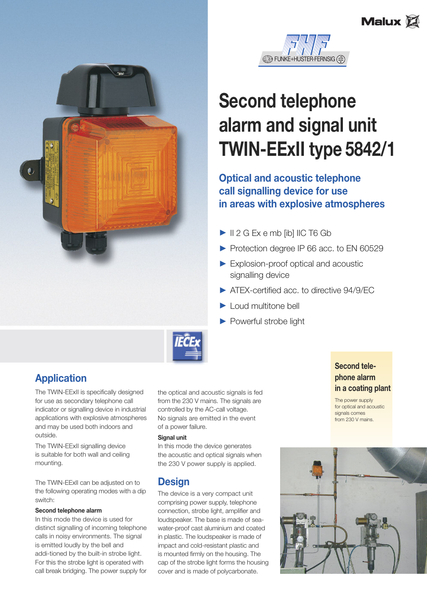





# **Second telephone alarm and signal unit TWIN-EExII type 5842/1**

## **Optical and acoustic telephone call signalling device for use in areas with explosive atmospheres**

- $\blacktriangleright$   $\parallel$  2 G Ex e mb [ib]  $\parallel$  IC T6 Gb
- Protection degree IP 66 acc. to EN 60529
- $\blacktriangleright$  Explosion-proof optical and acoustic signalling device
- **3 ATEX-certified acc. to directive 94/9/EC**
- $\blacktriangleright$  Loud multitone bell
- $\blacktriangleright$  Powerful strobe light



# **Application**

The TWIN-EExII is specifically designed for use as secondary telephone call indicator or signalling device in industrial applications with explosive atmospheres and may be used both indoors and outside.

The TWIN-EExII signalling device is suitable for both wall and ceiling mounting.

The TWIN-EExII can be adjusted on to the following operating modes with a dip switch:

#### **Second telephone alarm**

In this mode the device is used for distinct signalling of incoming telephone calls in noisy environments. The signal is emitted loudly by the bell and addi-tioned by the built-in strobe light. For this the strobe light is operated with call break bridging. The power supply for the optical and acoustic signals is fed from the 230 V mains. The signals are controlled by the AC-call voltage. No signals are emitted in the event of a power failure.

#### **Signal unit**

In this mode the device generates the acoustic and optical signals when the 230 V power supply is applied.

## **Design**

The device is a very compact unit comprising power supply, telephone connection, strobe light, amplifier and loudspeaker. The base is made of seawater-proof cast aluminium and coated in plastic. The loudspeaker is made of impact and cold-resistant plastic and is mounted firmly on the housing. The cap of the strobe light forms the housing cover and is made of polycarbonate.

## **Second telephone alarm in a coating plant**

The power supply for optical and acoustic signals comes from 230 V mains.